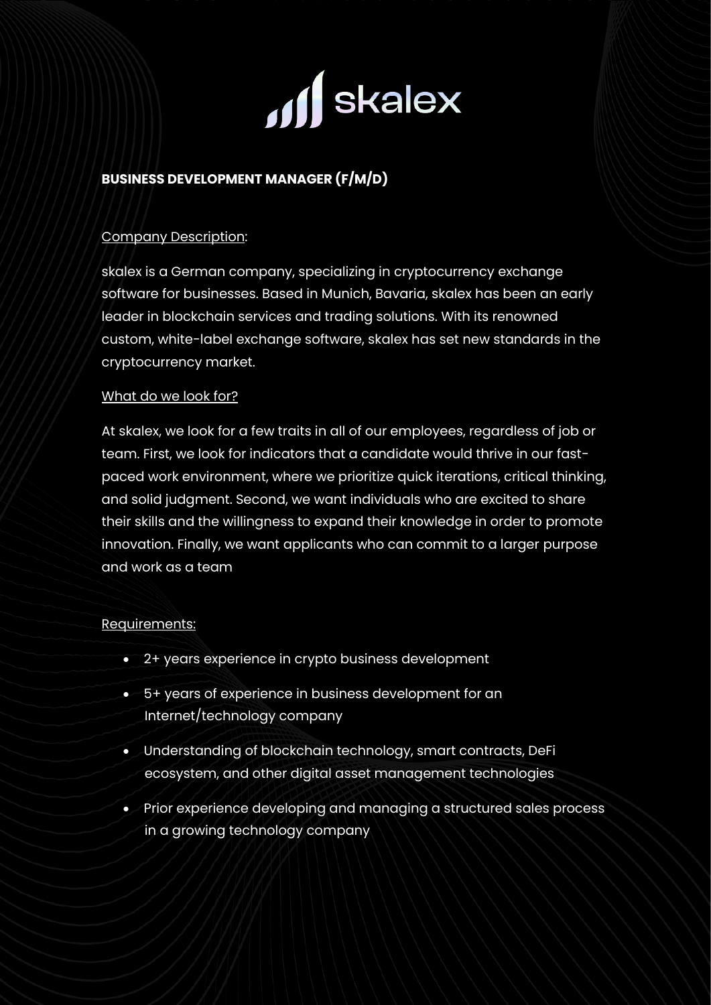

# **BUSINESS DEVELOPMENT MANAGER (F/M/D)**

#### Company Description:

skalex is a German company, specializing in cryptocurrency exchange software for businesses. Based in Munich, Bavaria, skalex has been an early leader in blockchain services and trading solutions. With its renowned custom, white-label exchange software, skalex has set new standards in the cryptocurrency market.

#### What do we look for?

At skalex, we look for a few traits in all of our employees, regardless of job or team. First, we look for indicators that a candidate would thrive in our fastpaced work environment, where we prioritize quick iterations, critical thinking, and solid judgment. Second, we want individuals who are excited to share their skills and the willingness to expand their knowledge in order to promote innovation. Finally, we want applicants who can commit to a larger purpose and work as a team

## Requirements:

- 2+ years experience in crypto business development
- 5+ years of experience in business development for an Internet/technology company
- Understanding of blockchain technology, smart contracts, DeFi ecosystem, and other digital asset management technologies
- Prior experience developing and managing a structured sales process in a growing technology company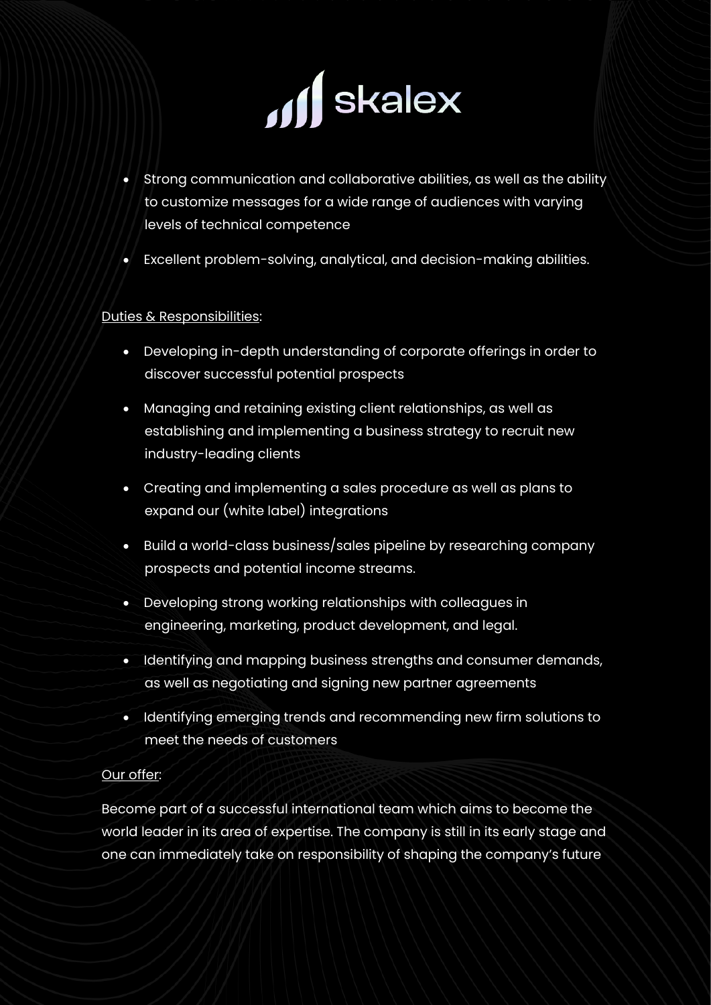

- Strong communication and collaborative abilities, as well as the ability to customize messages for a wide range of audiences with varying levels of technical competence
- Excellent problem-solving, analytical, and decision-making abilities.

# Duties & Responsibilities:

- Developing in-depth understanding of corporate offerings in order to discover successful potential prospects
- Managing and retaining existing client relationships, as well as establishing and implementing a business strategy to recruit new industry-leading clients
- Creating and implementing a sales procedure as well as plans to expand our (white label) integrations
- Build a world-class business/sales pipeline by researching company prospects and potential income streams.
- Developing strong working relationships with colleagues in engineering, marketing, product development, and legal.
- Identifying and mapping business strengths and consumer demands, as well as negotiating and signing new partner agreements
- Identifying emerging trends and recommending new firm solutions to meet the needs of customers

## Our offer:

Become part of a successful international team which aims to become the world leader in its area of expertise. The company is still in its early stage and one can immediately take on responsibility of shaping the company's future